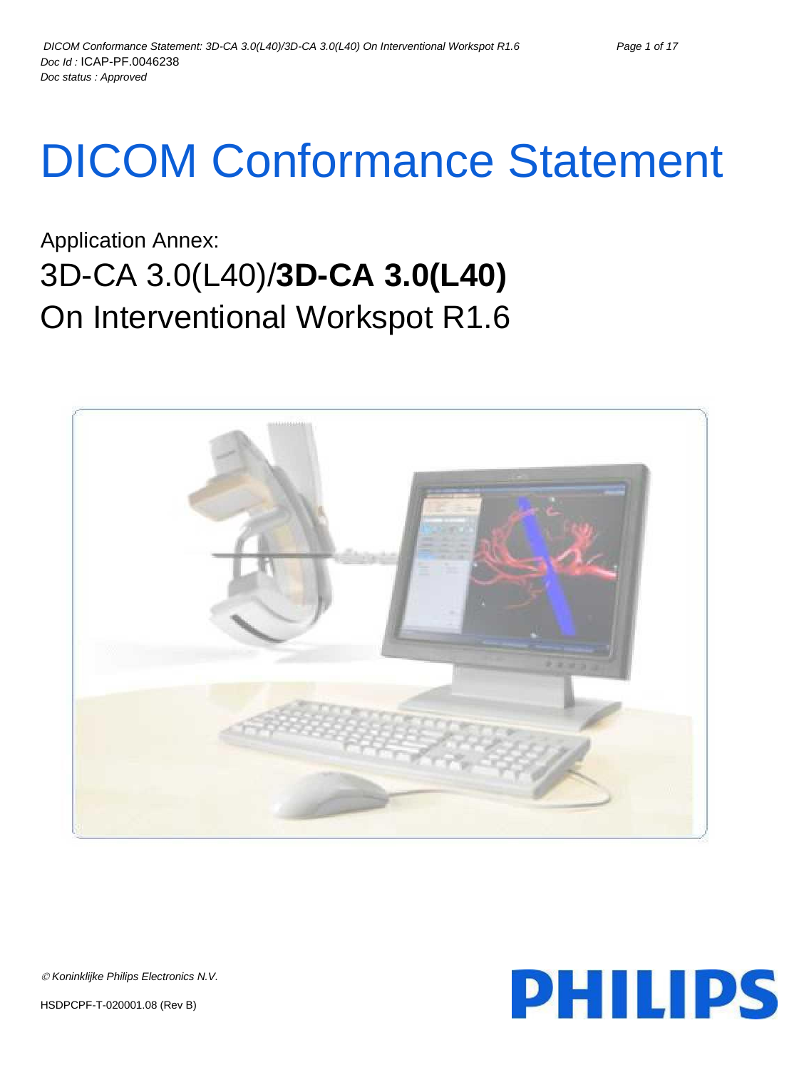# DICOM Conformance Statement

## Application Annex: 3D-CA 3.0(L40)/**3D-CA 3.0(L40)** On Interventional Workspot R1.6





*Koninklijke Philips Electronics N.V.*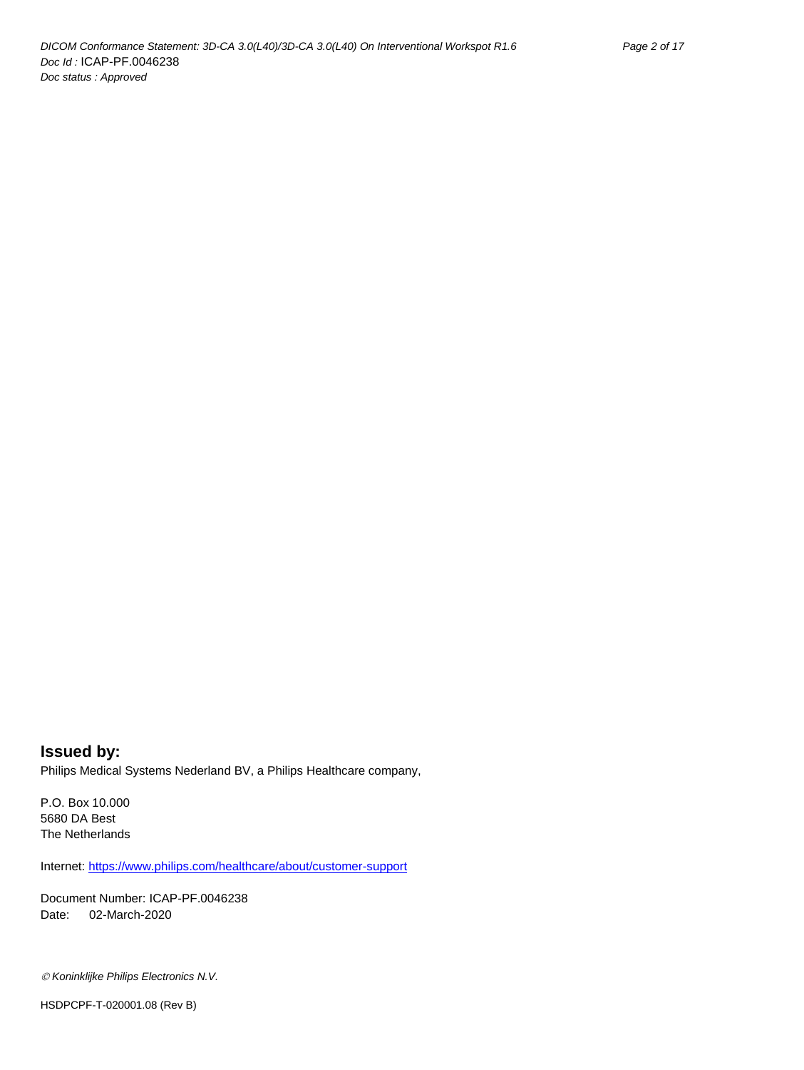**Issued by:** Philips Medical Systems Nederland BV, a Philips Healthcare company,

P.O. Box 10.000 5680 DA Best The Netherlands

Internet: https://www.philips.com/healthcare/about/customer-support

Document Number: ICAP-PF.0046238 Date: 02-March-2020

*Koninklijke Philips Electronics N.V.*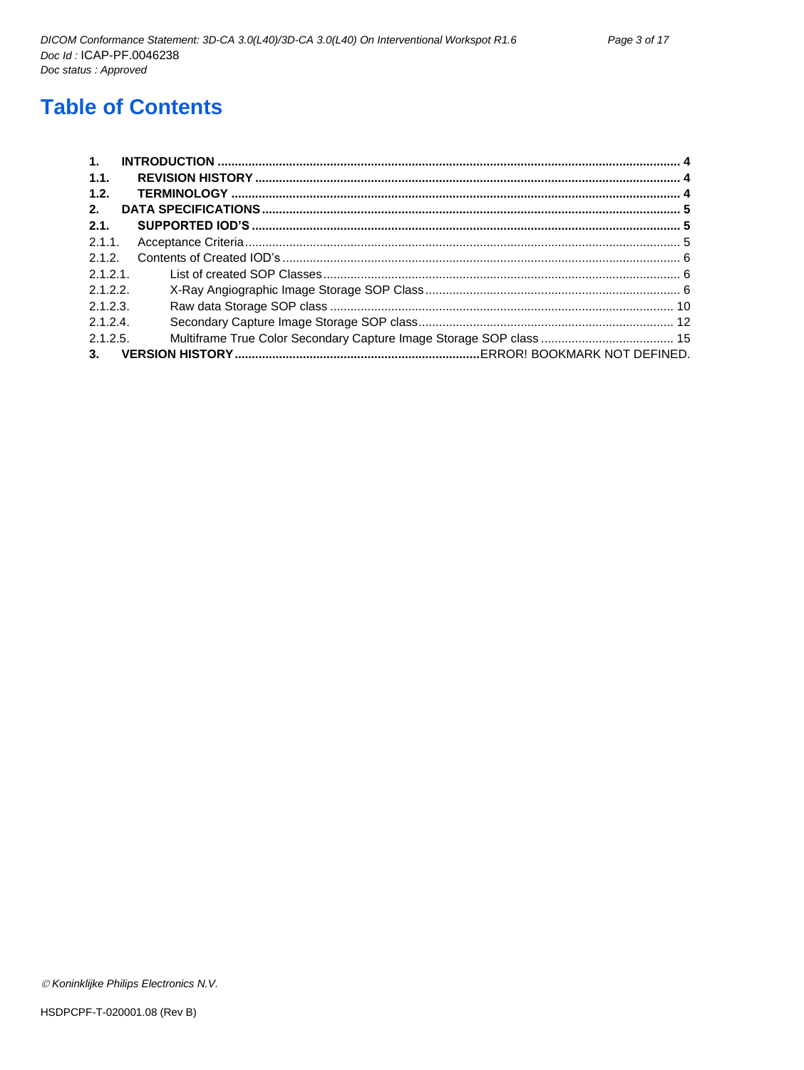## **Table of Contents**

| $\mathbf{1}$ . |  |
|----------------|--|
| 1.1.           |  |
| 1.2.           |  |
| 2.             |  |
| 2.1.           |  |
| 2.1.1          |  |
| 2.1.2.         |  |
| 2.1.2.1        |  |
| 2.1.2.2        |  |
| 2.1.2.3.       |  |
| 2.1.2.4        |  |
| 2.1.2.5.       |  |
| 3.             |  |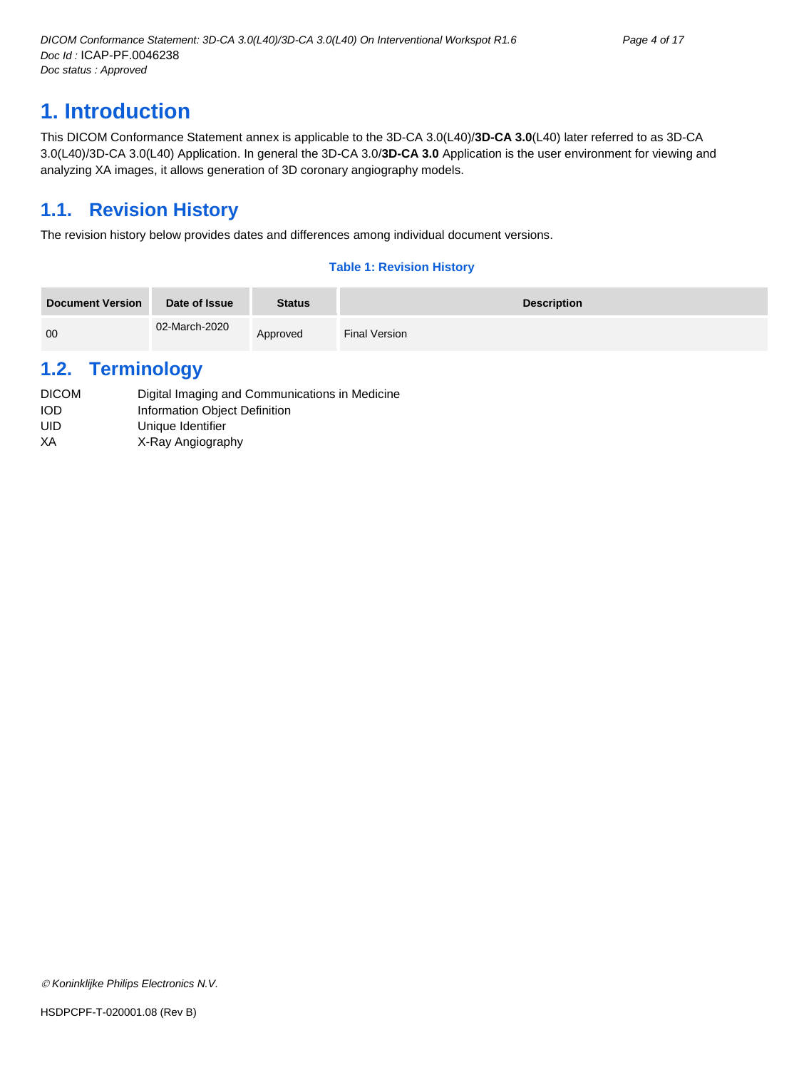## <span id="page-3-0"></span>**1. Introduction**

This DICOM Conformance Statement annex is applicable to the 3D-CA 3.0(L40)/**3D-CA 3.0**(L40) later referred to as 3D-CA 3.0(L40)/3D-CA 3.0(L40) Application. In general the 3D-CA 3.0/**3D-CA 3.0** Application is the user environment for viewing and analyzing XA images, it allows generation of 3D coronary angiography models.

## <span id="page-3-1"></span>**1.1. Revision History**

The revision history below provides dates and differences among individual document versions.

#### **Table 1: Revision History**

| <b>Document Version</b> | Date of Issue | <b>Status</b> | <b>Description</b> |
|-------------------------|---------------|---------------|--------------------|
| 00                      | 02-March-2020 | Approved      | Final Version      |

## <span id="page-3-2"></span>**1.2. Terminology**

| <b>DICOM</b> | Digital Imaging and Communications in Medicine |
|--------------|------------------------------------------------|
| <b>IOD</b>   | Information Object Definition                  |
| UID          | Unique Identifier                              |
| XА           | X-Ray Angiography                              |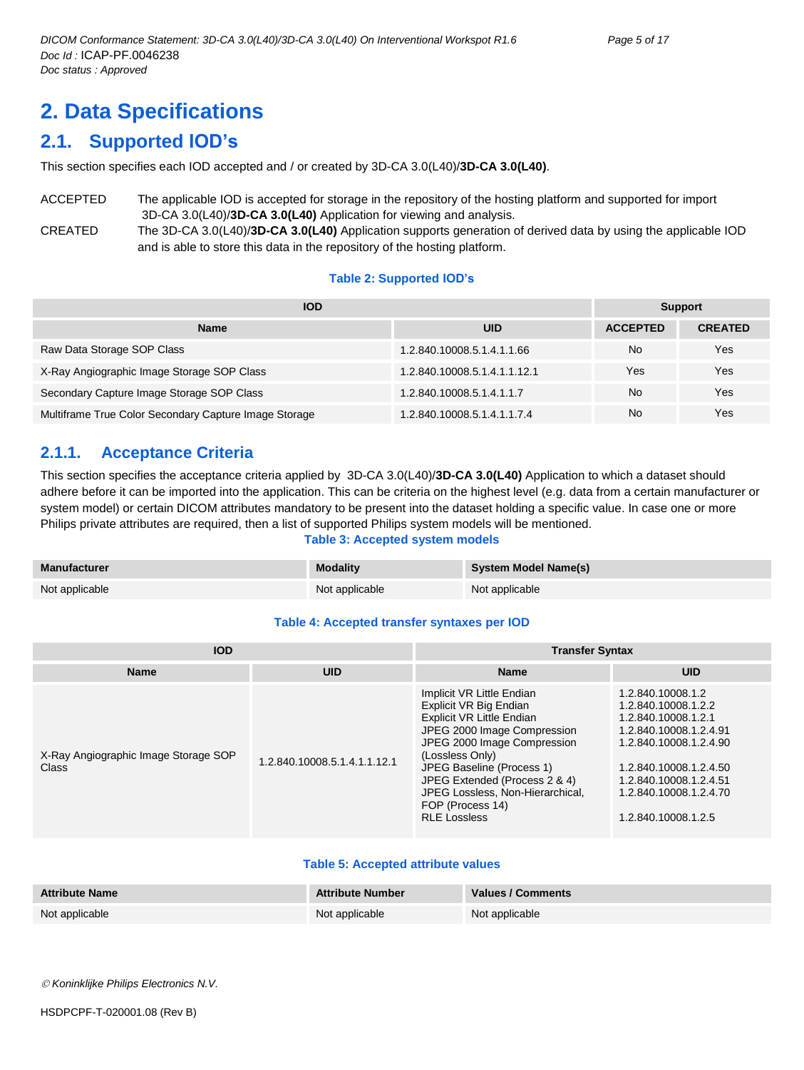## <span id="page-4-0"></span>**2. Data Specifications**

## <span id="page-4-1"></span>**2.1. Supported IOD's**

This section specifies each IOD accepted and / or created by 3D-CA 3.0(L40)/**3D-CA 3.0(L40)**.

ACCEPTED The applicable IOD is accepted for storage in the repository of the hosting platform and supported for import 3D-CA 3.0(L40)/**3D-CA 3.0(L40)** Application for viewing and analysis.

CREATED The 3D-CA 3.0(L40)/**3D-CA 3.0(L40)** Application supports generation of derived data by using the applicable IOD and is able to store this data in the repository of the hosting platform.

#### **Table 2: Supported IOD's**

| <b>IOD</b>                                            | <b>Support</b>               |                 |                |
|-------------------------------------------------------|------------------------------|-----------------|----------------|
| <b>Name</b>                                           | UID                          | <b>ACCEPTED</b> | <b>CREATED</b> |
| Raw Data Storage SOP Class                            | 1.2.840.10008.5.1.4.1.1.66   | No              | Yes            |
| X-Ray Angiographic Image Storage SOP Class            | 1.2.840.10008.5.1.4.1.1.12.1 | Yes             | Yes            |
| Secondary Capture Image Storage SOP Class             | 1.2.840.10008.5.1.4.1.1.7    | No              | Yes            |
| Multiframe True Color Secondary Capture Image Storage | 1.2.840.10008.5.1.4.1.1.7.4  | <b>No</b>       | Yes            |

#### <span id="page-4-2"></span>**2.1.1. Acceptance Criteria**

This section specifies the acceptance criteria applied by 3D-CA 3.0(L40)/**3D-CA 3.0(L40)** Application to which a dataset should adhere before it can be imported into the application. This can be criteria on the highest level (e.g. data from a certain manufacturer or system model) or certain DICOM attributes mandatory to be present into the dataset holding a specific value. In case one or more Philips private attributes are required, then a list of supported Philips system models will be mentioned.

#### **Table 3: Accepted system models**

| Manufacturer   | <b>Modality</b> | System Model Name(s) |
|----------------|-----------------|----------------------|
| Not applicable | Not applicable  | Not applicable       |

#### **Table 4: Accepted transfer syntaxes per IOD**

| <b>IOD</b>                                    |                              | <b>Transfer Syntax</b>                                                                                                                                                                                                                                                                                                |                                                                                                                                                                                                                          |  |  |
|-----------------------------------------------|------------------------------|-----------------------------------------------------------------------------------------------------------------------------------------------------------------------------------------------------------------------------------------------------------------------------------------------------------------------|--------------------------------------------------------------------------------------------------------------------------------------------------------------------------------------------------------------------------|--|--|
| <b>Name</b>                                   | <b>UID</b>                   | <b>Name</b>                                                                                                                                                                                                                                                                                                           | <b>UID</b>                                                                                                                                                                                                               |  |  |
| X-Ray Angiographic Image Storage SOP<br>Class | 1.2.840.10008.5.1.4.1.1.12.1 | Implicit VR Little Endian<br>Explicit VR Big Endian<br><b>Explicit VR Little Endian</b><br>JPEG 2000 Image Compression<br>JPEG 2000 Image Compression<br>(Lossless Only)<br>JPEG Baseline (Process 1)<br>JPEG Extended (Process 2 & 4)<br>JPEG Lossless, Non-Hierarchical,<br>FOP (Process 14)<br><b>RLE Lossless</b> | 1.2.840.10008.1.2<br>1.2.840.10008.1.2.2<br>1.2.840.10008.1.2.1<br>1.2.840.10008.1.2.4.91<br>1.2.840.10008.1.2.4.90<br>1.2.840.10008.1.2.4.50<br>1.2.840.10008.1.2.4.51<br>1.2.840.10008.1.2.4.70<br>1.2.840.10008.1.2.5 |  |  |

#### **Table 5: Accepted attribute values**

| <b>Attribute Name</b> | <b>Attribute Number</b> | Values / Comments |
|-----------------------|-------------------------|-------------------|
| Not applicable        | Not applicable          | Not applicable    |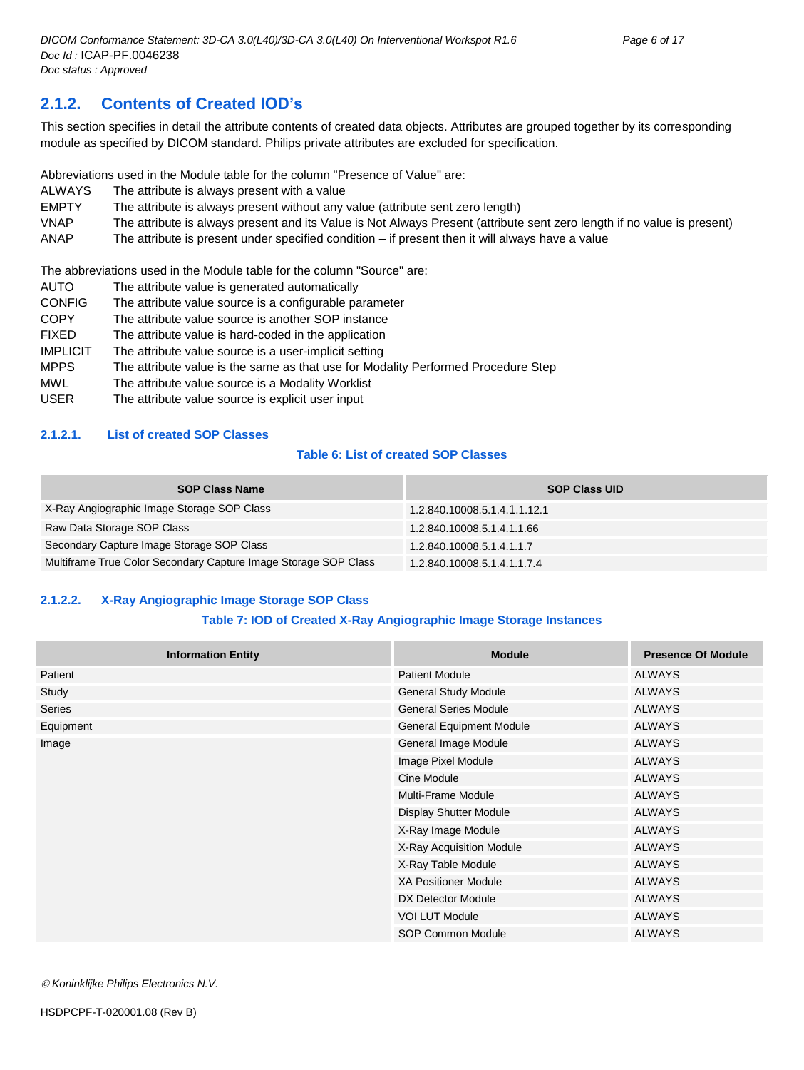### <span id="page-5-0"></span>**2.1.2. Contents of Created IOD's**

This section specifies in detail the attribute contents of created data objects. Attributes are grouped together by its corresponding module as specified by DICOM standard. Philips private attributes are excluded for specification.

Abbreviations used in the Module table for the column "Presence of Value" are:

- ALWAYS The attribute is always present with a value
- EMPTY The attribute is always present without any value (attribute sent zero length)
- VNAP The attribute is always present and its Value is Not Always Present (attribute sent zero length if no value is present)

ANAP The attribute is present under specified condition – if present then it will always have a value

The abbreviations used in the Module table for the column "Source" are:

- AUTO The attribute value is generated automatically
- CONFIG The attribute value source is a configurable parameter
- COPY The attribute value source is another SOP instance
- FIXED The attribute value is hard-coded in the application
- IMPLICIT The attribute value source is a user-implicit setting
- MPPS The attribute value is the same as that use for Modality Performed Procedure Step
- MWL The attribute value source is a Modality Worklist
- USER The attribute value source is explicit user input

#### <span id="page-5-1"></span>**2.1.2.1. List of created SOP Classes**

#### **Table 6: List of created SOP Classes**

| <b>SOP Class Name</b>                                           | <b>SOP Class UID</b>         |
|-----------------------------------------------------------------|------------------------------|
| X-Ray Angiographic Image Storage SOP Class                      | 1.2.840.10008.5.1.4.1.1.12.1 |
| Raw Data Storage SOP Class                                      | 1.2.840.10008.5.1.4.1.1.66   |
| Secondary Capture Image Storage SOP Class                       | 1.2.840.10008.5.1.4.1.1.7    |
| Multiframe True Color Secondary Capture Image Storage SOP Class | 1.2.840.10008.5.1.4.1.1.7.4  |

#### <span id="page-5-2"></span>**2.1.2.2. X-Ray Angiographic Image Storage SOP Class**

#### **Table 7: IOD of Created X-Ray Angiographic Image Storage Instances**

| <b>Information Entity</b> | <b>Module</b>                   | <b>Presence Of Module</b> |
|---------------------------|---------------------------------|---------------------------|
| Patient                   | <b>Patient Module</b>           | <b>ALWAYS</b>             |
| Study                     | <b>General Study Module</b>     | <b>ALWAYS</b>             |
| <b>Series</b>             | <b>General Series Module</b>    | <b>ALWAYS</b>             |
| Equipment                 | <b>General Equipment Module</b> | <b>ALWAYS</b>             |
| Image                     | General Image Module            | <b>ALWAYS</b>             |
|                           | Image Pixel Module              | <b>ALWAYS</b>             |
|                           | Cine Module                     | <b>ALWAYS</b>             |
|                           | Multi-Frame Module              | <b>ALWAYS</b>             |
|                           | <b>Display Shutter Module</b>   | <b>ALWAYS</b>             |
|                           | X-Ray Image Module              | <b>ALWAYS</b>             |
|                           | X-Ray Acquisition Module        | <b>ALWAYS</b>             |
|                           | X-Ray Table Module              | <b>ALWAYS</b>             |
|                           | <b>XA Positioner Module</b>     | <b>ALWAYS</b>             |
|                           | DX Detector Module              | <b>ALWAYS</b>             |
|                           | <b>VOI LUT Module</b>           | <b>ALWAYS</b>             |
|                           | SOP Common Module               | <b>ALWAYS</b>             |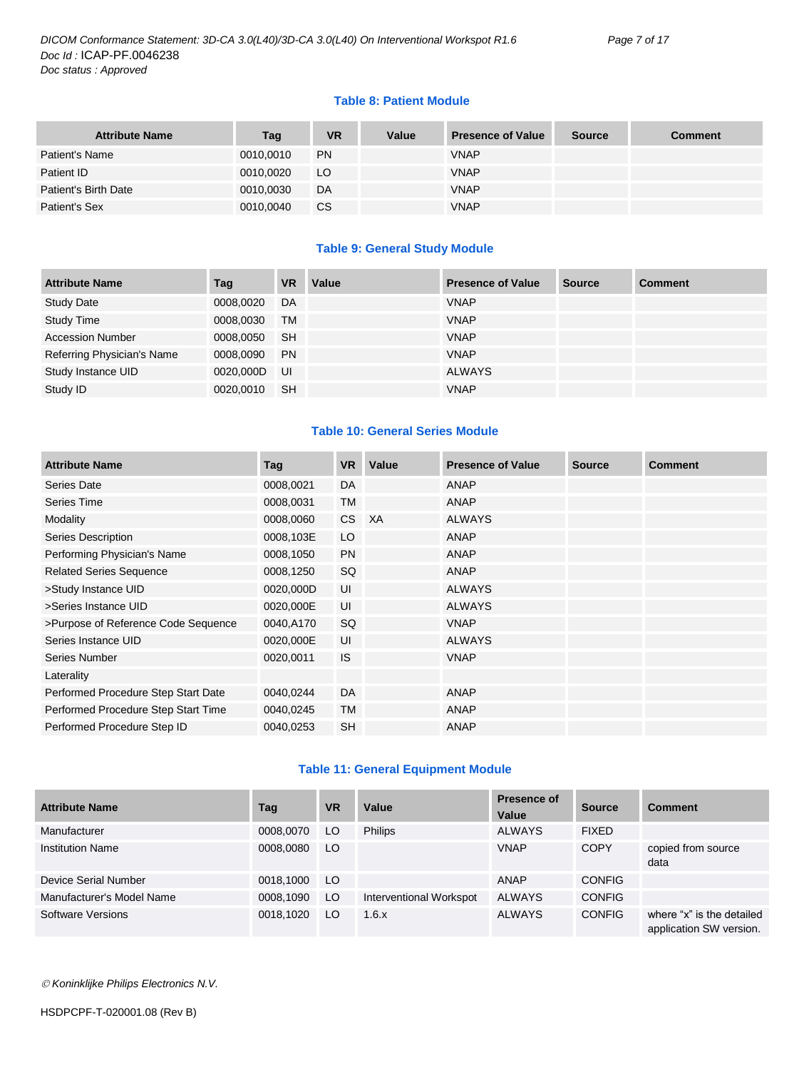#### **Table 8: Patient Module**

| <b>Attribute Name</b> | Tag       | <b>VR</b> | Value | <b>Presence of Value</b> | <b>Source</b> | <b>Comment</b> |
|-----------------------|-----------|-----------|-------|--------------------------|---------------|----------------|
| Patient's Name        | 0010,0010 | <b>PN</b> |       | <b>VNAP</b>              |               |                |
| Patient ID            | 0010,0020 | LO        |       | <b>VNAP</b>              |               |                |
| Patient's Birth Date  | 0010,0030 | DA        |       | <b>VNAP</b>              |               |                |
| Patient's Sex         | 0010,0040 | <b>CS</b> |       | <b>VNAP</b>              |               |                |

#### **Table 9: General Study Module**

| <b>Attribute Name</b>      | Tag       | <b>VR</b> | Value | <b>Presence of Value</b> | <b>Source</b> | <b>Comment</b> |
|----------------------------|-----------|-----------|-------|--------------------------|---------------|----------------|
| <b>Study Date</b>          | 0008,0020 | DA        |       | <b>VNAP</b>              |               |                |
| <b>Study Time</b>          | 0008,0030 | <b>TM</b> |       | <b>VNAP</b>              |               |                |
| <b>Accession Number</b>    | 0008,0050 | -SH       |       | <b>VNAP</b>              |               |                |
| Referring Physician's Name | 0008.0090 | <b>PN</b> |       | <b>VNAP</b>              |               |                |
| Study Instance UID         | 0020,000D | UI        |       | <b>ALWAYS</b>            |               |                |
| Study ID                   | 0020,0010 | <b>SH</b> |       | <b>VNAP</b>              |               |                |

#### **Table 10: General Series Module**

| <b>Attribute Name</b>               | Tag       | <b>VR</b> | Value | <b>Presence of Value</b> | <b>Source</b> | <b>Comment</b> |
|-------------------------------------|-----------|-----------|-------|--------------------------|---------------|----------------|
| Series Date                         | 0008,0021 | DA        |       | <b>ANAP</b>              |               |                |
| Series Time                         | 0008,0031 | TM        |       | <b>ANAP</b>              |               |                |
| Modality                            | 0008,0060 | CS        | XA    | <b>ALWAYS</b>            |               |                |
| <b>Series Description</b>           | 0008,103E | LO        |       | ANAP                     |               |                |
| Performing Physician's Name         | 0008,1050 | <b>PN</b> |       | ANAP                     |               |                |
| <b>Related Series Sequence</b>      | 0008,1250 | SQ        |       | ANAP                     |               |                |
| >Study Instance UID                 | 0020,000D | UI        |       | <b>ALWAYS</b>            |               |                |
| >Series Instance UID                | 0020,000E | UI        |       | <b>ALWAYS</b>            |               |                |
| >Purpose of Reference Code Sequence | 0040,A170 | SQ        |       | <b>VNAP</b>              |               |                |
| Series Instance UID                 | 0020,000E | UI        |       | <b>ALWAYS</b>            |               |                |
| Series Number                       | 0020,0011 | <b>IS</b> |       | <b>VNAP</b>              |               |                |
| Laterality                          |           |           |       |                          |               |                |
| Performed Procedure Step Start Date | 0040,0244 | <b>DA</b> |       | ANAP                     |               |                |
| Performed Procedure Step Start Time | 0040,0245 | <b>TM</b> |       | ANAP                     |               |                |
| Performed Procedure Step ID         | 0040,0253 | <b>SH</b> |       | <b>ANAP</b>              |               |                |

#### **Table 11: General Equipment Module**

| <b>Attribute Name</b>     | Tag       | <b>VR</b> | Value                   | <b>Presence of</b><br>Value | <b>Source</b> | <b>Comment</b>                                       |
|---------------------------|-----------|-----------|-------------------------|-----------------------------|---------------|------------------------------------------------------|
| Manufacturer              | 0008,0070 | LO        | <b>Philips</b>          | <b>ALWAYS</b>               | <b>FIXED</b>  |                                                      |
| <b>Institution Name</b>   | 0008,0080 | LO.       |                         | <b>VNAP</b>                 | <b>COPY</b>   | copied from source<br>data                           |
| Device Serial Number      | 0018,1000 | LO.       |                         | <b>ANAP</b>                 | <b>CONFIG</b> |                                                      |
| Manufacturer's Model Name | 0008,1090 | LO        | Interventional Workspot | <b>ALWAYS</b>               | <b>CONFIG</b> |                                                      |
| Software Versions         | 0018.1020 | LO.       | 1.6.x                   | <b>ALWAYS</b>               | <b>CONFIG</b> | where "x" is the detailed<br>application SW version. |

*Koninklijke Philips Electronics N.V.*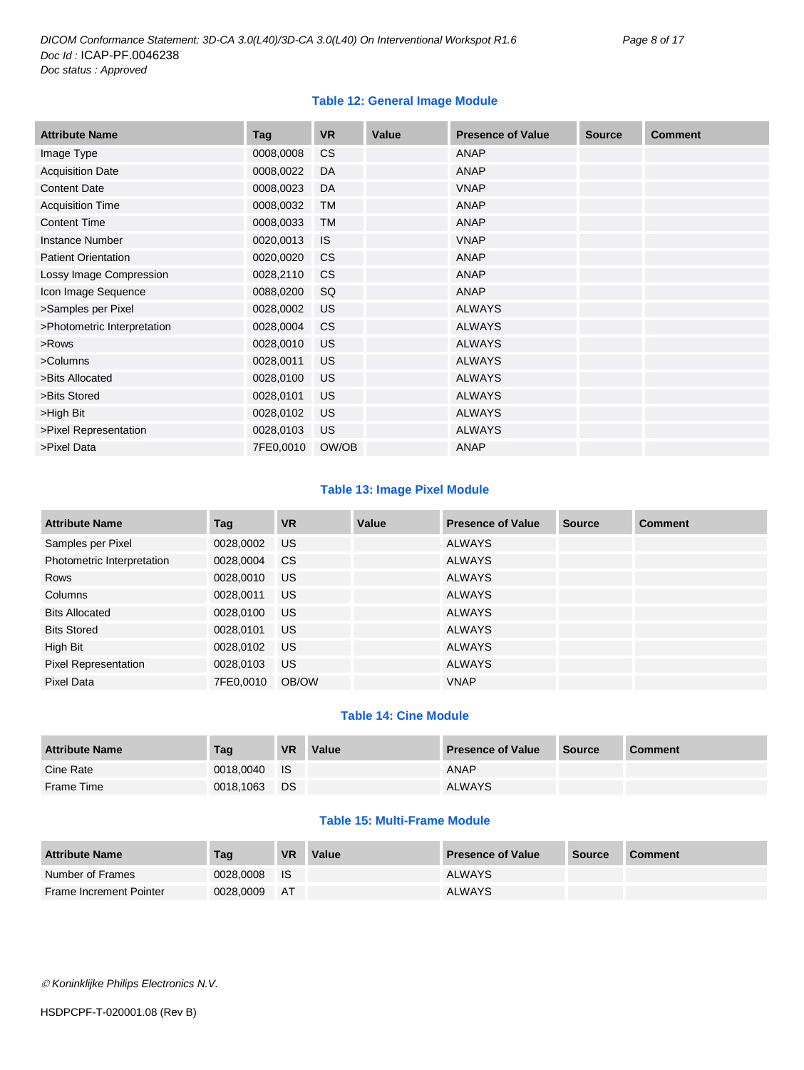#### **Table 12: General Image Module**

| <b>Attribute Name</b>       | Tag       | <b>VR</b> | Value | <b>Presence of Value</b> | <b>Source</b> | <b>Comment</b> |
|-----------------------------|-----------|-----------|-------|--------------------------|---------------|----------------|
| Image Type                  | 0008,0008 | <b>CS</b> |       | <b>ANAP</b>              |               |                |
| <b>Acquisition Date</b>     | 0008,0022 | DA        |       | <b>ANAP</b>              |               |                |
| <b>Content Date</b>         | 0008,0023 | DA        |       | <b>VNAP</b>              |               |                |
| <b>Acquisition Time</b>     | 0008,0032 | TM        |       | <b>ANAP</b>              |               |                |
| <b>Content Time</b>         | 0008,0033 | <b>TM</b> |       | <b>ANAP</b>              |               |                |
| <b>Instance Number</b>      | 0020,0013 | IS        |       | <b>VNAP</b>              |               |                |
| <b>Patient Orientation</b>  | 0020,0020 | <b>CS</b> |       | <b>ANAP</b>              |               |                |
| Lossy Image Compression     | 0028,2110 | <b>CS</b> |       | <b>ANAP</b>              |               |                |
| Icon Image Sequence         | 0088,0200 | SQ        |       | <b>ANAP</b>              |               |                |
| >Samples per Pixel          | 0028,0002 | <b>US</b> |       | <b>ALWAYS</b>            |               |                |
| >Photometric Interpretation | 0028,0004 | <b>CS</b> |       | <b>ALWAYS</b>            |               |                |
| >Rows                       | 0028,0010 | <b>US</b> |       | <b>ALWAYS</b>            |               |                |
| >Columns                    | 0028,0011 | <b>US</b> |       | <b>ALWAYS</b>            |               |                |
| >Bits Allocated             | 0028,0100 | <b>US</b> |       | <b>ALWAYS</b>            |               |                |
| >Bits Stored                | 0028,0101 | <b>US</b> |       | <b>ALWAYS</b>            |               |                |
| >High Bit                   | 0028,0102 | <b>US</b> |       | <b>ALWAYS</b>            |               |                |
| >Pixel Representation       | 0028,0103 | <b>US</b> |       | <b>ALWAYS</b>            |               |                |
| >Pixel Data                 | 7FE0,0010 | OW/OB     |       | <b>ANAP</b>              |               |                |

#### **Table 13: Image Pixel Module**

| <b>Attribute Name</b>       | Tag       | <b>VR</b> | Value | <b>Presence of Value</b> | Source | <b>Comment</b> |
|-----------------------------|-----------|-----------|-------|--------------------------|--------|----------------|
| Samples per Pixel           | 0028,0002 | US.       |       | <b>ALWAYS</b>            |        |                |
| Photometric Interpretation  | 0028,0004 | <b>CS</b> |       | <b>ALWAYS</b>            |        |                |
| Rows                        | 0028,0010 | US.       |       | <b>ALWAYS</b>            |        |                |
| Columns                     | 0028,0011 | US.       |       | <b>ALWAYS</b>            |        |                |
| <b>Bits Allocated</b>       | 0028,0100 | US.       |       | <b>ALWAYS</b>            |        |                |
| <b>Bits Stored</b>          | 0028,0101 | US.       |       | ALWAYS                   |        |                |
| High Bit                    | 0028,0102 | <b>US</b> |       | <b>ALWAYS</b>            |        |                |
| <b>Pixel Representation</b> | 0028,0103 | US        |       | <b>ALWAYS</b>            |        |                |
| Pixel Data                  | 7FE0,0010 | OB/OW     |       | <b>VNAP</b>              |        |                |

#### **Table 14: Cine Module**

| <b>Attribute Name</b> | Tag          | <b>VR</b> | Value | <b>Presence of Value</b> | <b>Source</b> | <b>Comment</b> |
|-----------------------|--------------|-----------|-------|--------------------------|---------------|----------------|
| Cine Rate             | 0018,0040 IS |           |       | ANAP                     |               |                |
| Frame Time            | 0018,1063    | <b>DS</b> |       | <b>ALWAYS</b>            |               |                |

#### **Table 15: Multi-Frame Module**

| <b>Attribute Name</b>          | Tag       | VR          | Value | <b>Presence of Value</b> | <b>Source</b> | <b>Comment</b> |
|--------------------------------|-----------|-------------|-------|--------------------------|---------------|----------------|
| Number of Frames               | 0028.0008 | <b>I</b> IS |       | <b>ALWAYS</b>            |               |                |
| <b>Frame Increment Pointer</b> | 0028.0009 | - AT        |       | <b>ALWAYS</b>            |               |                |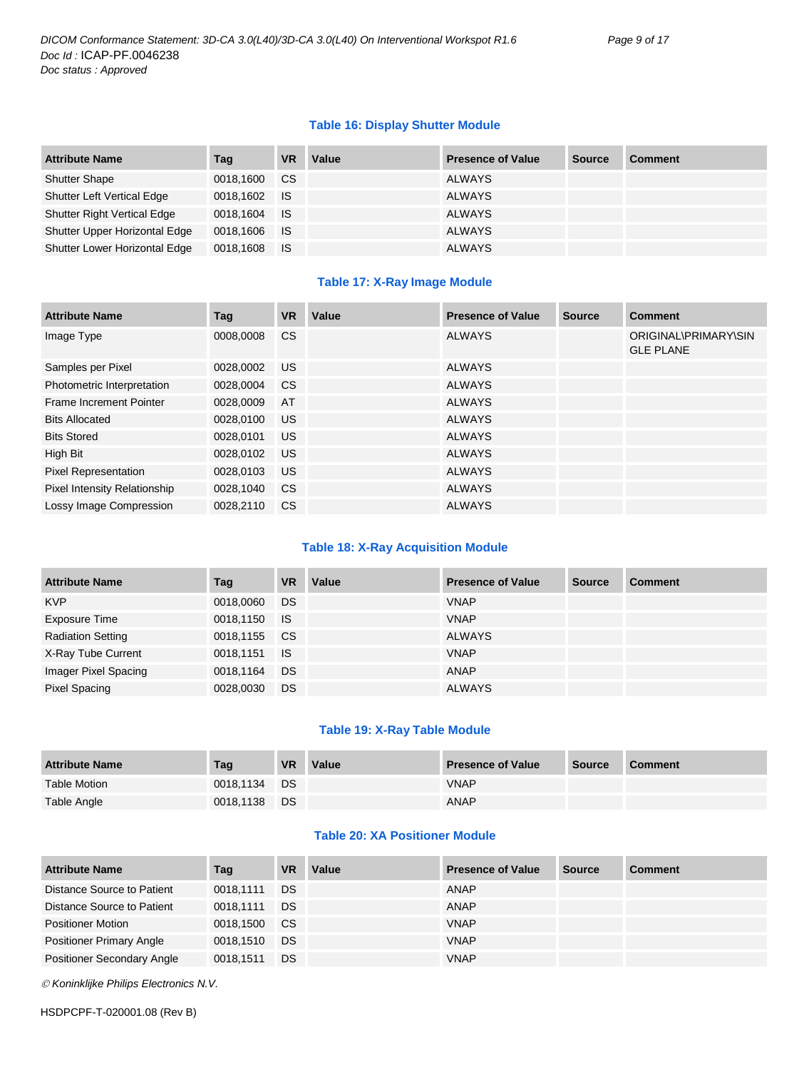#### **Table 16: Display Shutter Module**

| <b>Attribute Name</b>              | Taq          | <b>VR</b> | Value | <b>Presence of Value</b> | <b>Source</b> | <b>Comment</b> |
|------------------------------------|--------------|-----------|-------|--------------------------|---------------|----------------|
| <b>Shutter Shape</b>               | 0018,1600    | <b>CS</b> |       | <b>ALWAYS</b>            |               |                |
| <b>Shutter Left Vertical Edge</b>  | 0018,1602 IS |           |       | <b>ALWAYS</b>            |               |                |
| <b>Shutter Right Vertical Edge</b> | 0018,1604    | <b>IS</b> |       | <b>ALWAYS</b>            |               |                |
| Shutter Upper Horizontal Edge      | 0018,1606 IS |           |       | <b>ALWAYS</b>            |               |                |
| Shutter Lower Horizontal Edge      | 0018,1608    | ⊟ IS      |       | <b>ALWAYS</b>            |               |                |

#### **Table 17: X-Ray Image Module**

| <b>Attribute Name</b>               | Tag       | <b>VR</b>     | Value | <b>Presence of Value</b> | <b>Source</b> | <b>Comment</b>                           |
|-------------------------------------|-----------|---------------|-------|--------------------------|---------------|------------------------------------------|
| Image Type                          | 0008.0008 | <sub>CS</sub> |       | <b>ALWAYS</b>            |               | ORIGINAL\PRIMARY\SIN<br><b>GLE PLANE</b> |
| Samples per Pixel                   | 0028.0002 | <b>US</b>     |       | <b>ALWAYS</b>            |               |                                          |
| Photometric Interpretation          | 0028.0004 | <b>CS</b>     |       | <b>ALWAYS</b>            |               |                                          |
| Frame Increment Pointer             | 0028,0009 | AT            |       | <b>ALWAYS</b>            |               |                                          |
| <b>Bits Allocated</b>               | 0028.0100 | <b>US</b>     |       | <b>ALWAYS</b>            |               |                                          |
| <b>Bits Stored</b>                  | 0028.0101 | US.           |       | <b>ALWAYS</b>            |               |                                          |
| High Bit                            | 0028.0102 | <b>US</b>     |       | <b>ALWAYS</b>            |               |                                          |
| <b>Pixel Representation</b>         | 0028,0103 | <b>US</b>     |       | <b>ALWAYS</b>            |               |                                          |
| <b>Pixel Intensity Relationship</b> | 0028,1040 | <sub>CS</sub> |       | <b>ALWAYS</b>            |               |                                          |
| <b>Lossy Image Compression</b>      | 0028.2110 | CS.           |       | <b>ALWAYS</b>            |               |                                          |

#### **Table 18: X-Ray Acquisition Module**

| <b>Attribute Name</b>    | Tag          | <b>VR</b> | Value | <b>Presence of Value</b> | <b>Source</b> | <b>Comment</b> |
|--------------------------|--------------|-----------|-------|--------------------------|---------------|----------------|
| <b>KVP</b>               | 0018,0060    | DS        |       | <b>VNAP</b>              |               |                |
| <b>Exposure Time</b>     | 0018,1150 IS |           |       | <b>VNAP</b>              |               |                |
| <b>Radiation Setting</b> | 0018,1155 CS |           |       | <b>ALWAYS</b>            |               |                |
| X-Ray Tube Current       | 0018,1151    | ⊟ IS      |       | <b>VNAP</b>              |               |                |
| Imager Pixel Spacing     | 0018,1164    | DS        |       | ANAP                     |               |                |
| <b>Pixel Spacing</b>     | 0028,0030    | DS        |       | <b>ALWAYS</b>            |               |                |

#### **Table 19: X-Ray Table Module**

| <b>Attribute Name</b> | Tag       | <b>VR</b> | Value | <b>Presence of Value</b> | <b>Source</b> | <b>Comment</b> |
|-----------------------|-----------|-----------|-------|--------------------------|---------------|----------------|
| <b>Table Motion</b>   | 0018.1134 | <b>DS</b> |       | <b>VNAP</b>              |               |                |
| Table Angle           | 0018.1138 | <b>DS</b> |       | <b>ANAP</b>              |               |                |

#### **Table 20: XA Positioner Module**

| <b>Attribute Name</b>           | Tag       | <b>VR</b> | Value | <b>Presence of Value</b> | <b>Source</b> | <b>Comment</b> |
|---------------------------------|-----------|-----------|-------|--------------------------|---------------|----------------|
| Distance Source to Patient      | 0018.1111 | DS.       |       | ANAP                     |               |                |
| Distance Source to Patient      | 0018.1111 | DS        |       | ANAP                     |               |                |
| <b>Positioner Motion</b>        | 0018,1500 | <b>CS</b> |       | <b>VNAP</b>              |               |                |
| <b>Positioner Primary Angle</b> | 0018.1510 | DS.       |       | <b>VNAP</b>              |               |                |
| Positioner Secondary Angle      | 0018,1511 | <b>DS</b> |       | <b>VNAP</b>              |               |                |

*Koninklijke Philips Electronics N.V.*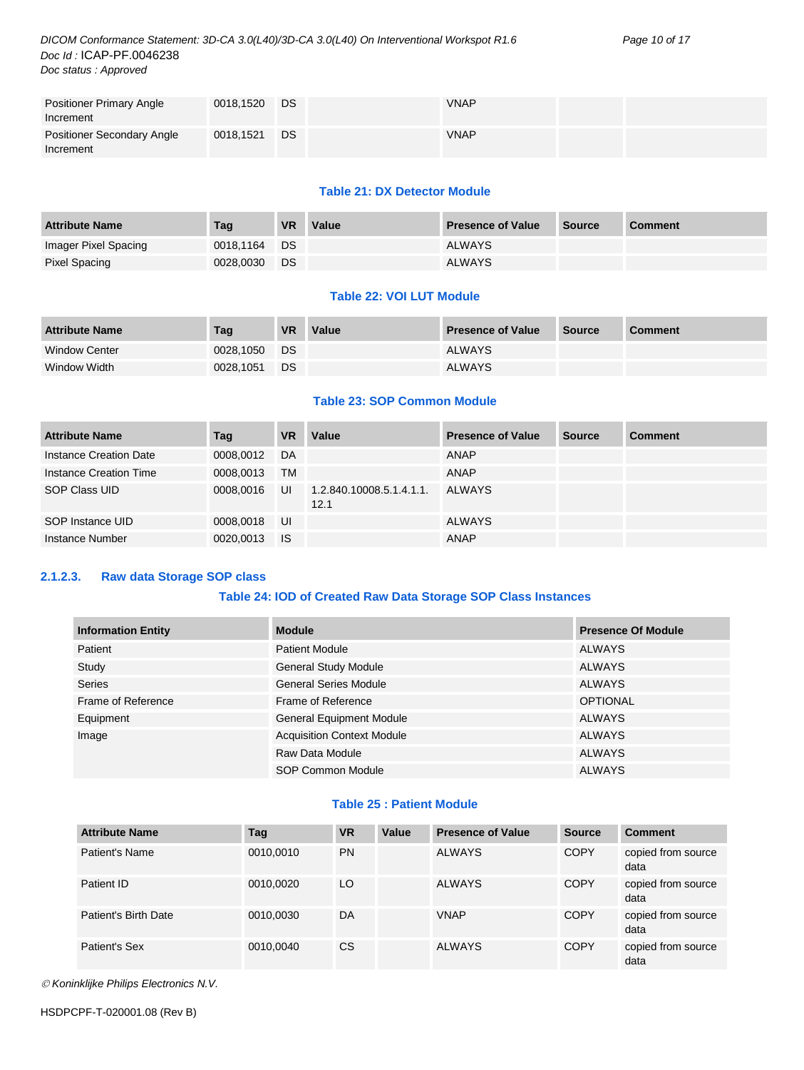| <b>Positioner Primary Angle</b>   | 0018,1520 | DS        | <b>VNAP</b> |  |
|-----------------------------------|-----------|-----------|-------------|--|
| Increment                         |           |           |             |  |
| <b>Positioner Secondary Angle</b> | 0018,1521 | <b>DS</b> | <b>VNAP</b> |  |
| Increment                         |           |           |             |  |

#### **Table 21: DX Detector Module**

| <b>Attribute Name</b> | Tag       | <b>VR</b> | Value | <b>Presence of Value</b> | Source | <b>Comment</b> |
|-----------------------|-----------|-----------|-------|--------------------------|--------|----------------|
| Imager Pixel Spacing  | 0018.1164 | <b>DS</b> |       | <b>ALWAYS</b>            |        |                |
| Pixel Spacing         | 0028,0030 | DS.       |       | <b>ALWAYS</b>            |        |                |

#### **Table 22: VOI LUT Module**

| <b>Attribute Name</b> | Tag       | <b>VR</b> | Value | <b>Presence of Value</b> | Source | <b>Comment</b> |
|-----------------------|-----------|-----------|-------|--------------------------|--------|----------------|
| <b>Window Center</b>  | 0028.1050 | <b>DS</b> |       | <b>ALWAYS</b>            |        |                |
| Window Width          | 0028,1051 | <b>DS</b> |       | <b>ALWAYS</b>            |        |                |

#### **Table 23: SOP Common Module**

| <b>Attribute Name</b>  | Taq       | <b>VR</b> | Value                            | <b>Presence of Value</b> | <b>Source</b> | <b>Comment</b> |
|------------------------|-----------|-----------|----------------------------------|--------------------------|---------------|----------------|
| Instance Creation Date | 0008,0012 | DA        |                                  | <b>ANAP</b>              |               |                |
| Instance Creation Time | 0008.0013 | <b>TM</b> |                                  | ANAP                     |               |                |
| SOP Class UID          | 0008.0016 | UI        | 1.2.840.10008.5.1.4.1.1.<br>12.1 | ALWAYS                   |               |                |
| SOP Instance UID       | 0008,0018 | UI        |                                  | <b>ALWAYS</b>            |               |                |
| Instance Number        | 0020,0013 | IS        |                                  | ANAP                     |               |                |

#### <span id="page-9-0"></span>**2.1.2.3. Raw data Storage SOP class**

#### **Table 24: IOD of Created Raw Data Storage SOP Class Instances**

| <b>Information Entity</b> | <b>Module</b>                     | <b>Presence Of Module</b> |
|---------------------------|-----------------------------------|---------------------------|
| Patient                   | <b>Patient Module</b>             | ALWAYS                    |
| Study                     | <b>General Study Module</b>       | ALWAYS                    |
| <b>Series</b>             | <b>General Series Module</b>      | ALWAYS                    |
| Frame of Reference        | Frame of Reference                | <b>OPTIONAL</b>           |
| Equipment                 | <b>General Equipment Module</b>   | <b>ALWAYS</b>             |
| Image                     | <b>Acquisition Context Module</b> | <b>ALWAYS</b>             |
|                           | Raw Data Module                   | <b>ALWAYS</b>             |
|                           | <b>SOP Common Module</b>          | <b>ALWAYS</b>             |

#### **Table 25 : Patient Module**

| <b>Attribute Name</b> | Tag       | <b>VR</b> | Value | <b>Presence of Value</b> | <b>Source</b> | <b>Comment</b>             |
|-----------------------|-----------|-----------|-------|--------------------------|---------------|----------------------------|
| Patient's Name        | 0010,0010 | <b>PN</b> |       | <b>ALWAYS</b>            | <b>COPY</b>   | copied from source<br>data |
| Patient ID            | 0010,0020 | LO        |       | <b>ALWAYS</b>            | <b>COPY</b>   | copied from source<br>data |
| Patient's Birth Date  | 0010,0030 | DA        |       | <b>VNAP</b>              | <b>COPY</b>   | copied from source<br>data |
| Patient's Sex         | 0010,0040 | CS        |       | <b>ALWAYS</b>            | <b>COPY</b>   | copied from source<br>data |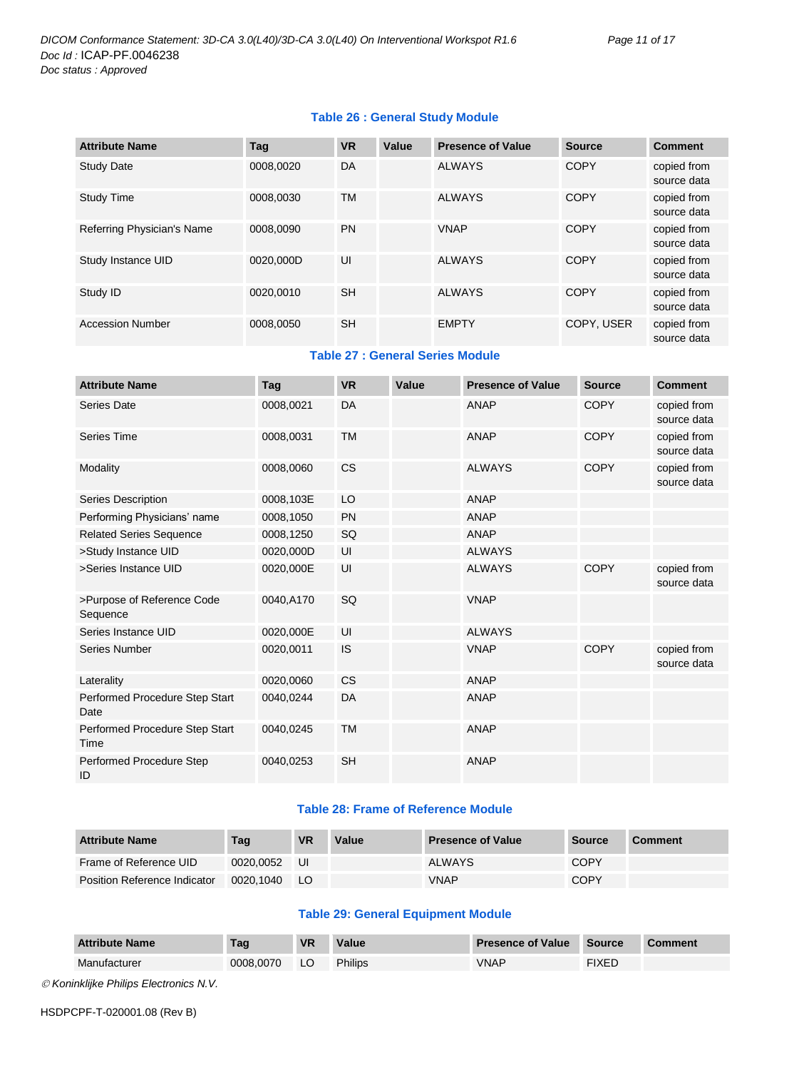#### **Table 26 : General Study Module**

| <b>Attribute Name</b>      | Taq       | <b>VR</b> | Value | <b>Presence of Value</b> | <b>Source</b> | <b>Comment</b>             |
|----------------------------|-----------|-----------|-------|--------------------------|---------------|----------------------------|
| <b>Study Date</b>          | 0008.0020 | DA        |       | <b>ALWAYS</b>            | <b>COPY</b>   | copied from<br>source data |
| <b>Study Time</b>          | 0008,0030 | <b>TM</b> |       | <b>ALWAYS</b>            | <b>COPY</b>   | copied from<br>source data |
| Referring Physician's Name | 0008.0090 | PN        |       | <b>VNAP</b>              | <b>COPY</b>   | copied from<br>source data |
| Study Instance UID         | 0020.000D | UI        |       | <b>ALWAYS</b>            | <b>COPY</b>   | copied from<br>source data |
| Study ID                   | 0020.0010 | <b>SH</b> |       | <b>ALWAYS</b>            | <b>COPY</b>   | copied from<br>source data |
| <b>Accession Number</b>    | 0008.0050 | <b>SH</b> |       | <b>EMPTY</b>             | COPY, USER    | copied from<br>source data |

**Table 27 : General Series Module**

| <b>Attribute Name</b>                  | Tag       | <b>VR</b> | Value | <b>Presence of Value</b> | <b>Source</b> | <b>Comment</b>             |
|----------------------------------------|-----------|-----------|-------|--------------------------|---------------|----------------------------|
| <b>Series Date</b>                     | 0008,0021 | DA        |       | <b>ANAP</b>              | <b>COPY</b>   | copied from<br>source data |
| <b>Series Time</b>                     | 0008,0031 | <b>TM</b> |       | <b>ANAP</b>              | <b>COPY</b>   | copied from<br>source data |
| Modality                               | 0008,0060 | <b>CS</b> |       | <b>ALWAYS</b>            | <b>COPY</b>   | copied from<br>source data |
| <b>Series Description</b>              | 0008,103E | LO        |       | <b>ANAP</b>              |               |                            |
| Performing Physicians' name            | 0008,1050 | <b>PN</b> |       | <b>ANAP</b>              |               |                            |
| <b>Related Series Sequence</b>         | 0008,1250 | SQ        |       | <b>ANAP</b>              |               |                            |
| >Study Instance UID                    | 0020,000D | UI        |       | <b>ALWAYS</b>            |               |                            |
| >Series Instance UID                   | 0020,000E | UI        |       | <b>ALWAYS</b>            | <b>COPY</b>   | copied from<br>source data |
| >Purpose of Reference Code<br>Sequence | 0040,A170 | SQ        |       | <b>VNAP</b>              |               |                            |
| Series Instance UID                    | 0020,000E | UI        |       | <b>ALWAYS</b>            |               |                            |
| <b>Series Number</b>                   | 0020,0011 | IS        |       | <b>VNAP</b>              | <b>COPY</b>   | copied from<br>source data |
| Laterality                             | 0020,0060 | <b>CS</b> |       | <b>ANAP</b>              |               |                            |
| Performed Procedure Step Start<br>Date | 0040,0244 | DA        |       | <b>ANAP</b>              |               |                            |
| Performed Procedure Step Start<br>Time | 0040,0245 | <b>TM</b> |       | <b>ANAP</b>              |               |                            |
| Performed Procedure Step<br>ID         | 0040,0253 | <b>SH</b> |       | <b>ANAP</b>              |               |                            |

#### **Table 28: Frame of Reference Module**

| <b>Attribute Name</b>        | Tag       | <b>VR</b> | Value | <b>Presence of Value</b> | <b>Source</b> | <b>Comment</b> |
|------------------------------|-----------|-----------|-------|--------------------------|---------------|----------------|
| Frame of Reference UID       | 0020.0052 | IJI       |       | ALWAYS                   | COPY          |                |
| Position Reference Indicator | 0020.1040 | LO.       |       | <b>VNAP</b>              | COPY          |                |

#### **Table 29: General Equipment Module**

| <b>Attribute Name</b> | Tag       | <b>VR</b> | Value          | <b>Presence of Value</b> | <b>Source</b> | Comment |
|-----------------------|-----------|-----------|----------------|--------------------------|---------------|---------|
| Manufacturer          | 0008.0070 | LO        | <b>Philips</b> | <b>VNAP</b>              | <b>FIXED</b>  |         |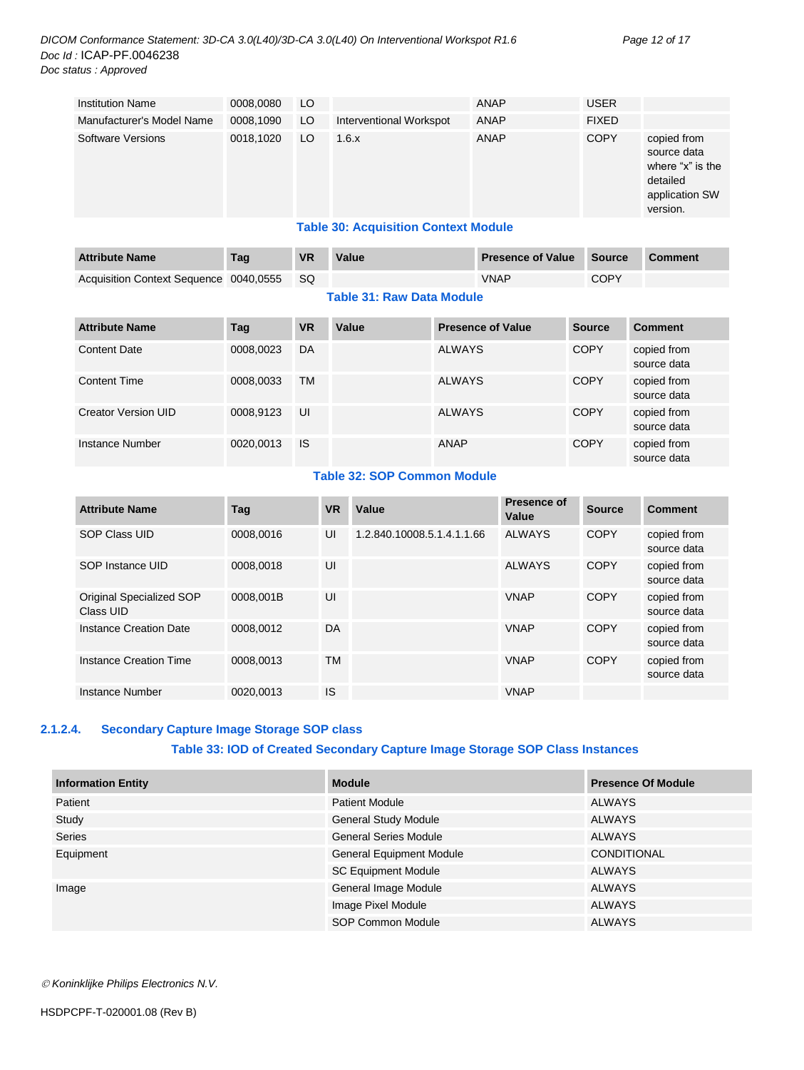| <b>Institution Name</b>   | 0008,0080 | LO |                         | ANAP        | <b>USER</b>  |                                                                                          |
|---------------------------|-----------|----|-------------------------|-------------|--------------|------------------------------------------------------------------------------------------|
| Manufacturer's Model Name | 0008,1090 | LO | Interventional Workspot | <b>ANAP</b> | <b>FIXED</b> |                                                                                          |
| Software Versions         | 0018,1020 | LO | 1.6.x                   | ANAP        | <b>COPY</b>  | copied from<br>source data<br>where "x" is the<br>detailed<br>application SW<br>version. |
|                           |           |    | _                       |             |              |                                                                                          |

#### **Table 30: Acquisition Context Module**

| <b>Attribute Name</b>                  | Taq | <b>VR</b> | Value                            | <b>Presence of Value</b> | Source      | <b>Comment</b> |
|----------------------------------------|-----|-----------|----------------------------------|--------------------------|-------------|----------------|
| Acquisition Context Sequence 0040,0555 |     | ⊟ SQ      |                                  | <b>VNAP</b>              | <b>COPY</b> |                |
|                                        |     |           | <b>Table 31: Raw Data Module</b> |                          |             |                |

| <b>Attribute Name</b> | Tag       | <b>VR</b> | Value | <b>Presence of Value</b> | <b>Source</b> | <b>Comment</b>             |
|-----------------------|-----------|-----------|-------|--------------------------|---------------|----------------------------|
| <b>Content Date</b>   | 0008,0023 | DA        |       | <b>ALWAYS</b>            | <b>COPY</b>   | copied from<br>source data |
| <b>Content Time</b>   | 0008,0033 | <b>TM</b> |       | <b>ALWAYS</b>            | <b>COPY</b>   | copied from<br>source data |
| Creator Version UID   | 0008.9123 | UI        |       | <b>ALWAYS</b>            | <b>COPY</b>   | copied from<br>source data |
| Instance Number       | 0020,0013 | <b>IS</b> |       | ANAP                     | <b>COPY</b>   | copied from<br>source data |

#### **Table 32: SOP Common Module**

| <b>Attribute Name</b>                 | Taq       | <b>VR</b> | Value                      | <b>Presence of</b><br>Value | <b>Source</b> | <b>Comment</b>             |
|---------------------------------------|-----------|-----------|----------------------------|-----------------------------|---------------|----------------------------|
| SOP Class UID                         | 0008.0016 | UI        | 1.2.840.10008.5.1.4.1.1.66 | ALWAYS                      | <b>COPY</b>   | copied from<br>source data |
| SOP Instance UID                      | 0008.0018 | UI        |                            | <b>ALWAYS</b>               | <b>COPY</b>   | copied from<br>source data |
| Original Specialized SOP<br>Class UID | 0008.001B | UI        |                            | <b>VNAP</b>                 | <b>COPY</b>   | copied from<br>source data |
| <b>Instance Creation Date</b>         | 0008.0012 | DA        |                            | <b>VNAP</b>                 | <b>COPY</b>   | copied from<br>source data |
| Instance Creation Time                | 0008.0013 | TM        |                            | <b>VNAP</b>                 | <b>COPY</b>   | copied from<br>source data |
| Instance Number                       | 0020.0013 | IS        |                            | <b>VNAP</b>                 |               |                            |

#### <span id="page-11-0"></span>**2.1.2.4. Secondary Capture Image Storage SOP class**

#### **Table 33: IOD of Created Secondary Capture Image Storage SOP Class Instances**

| <b>Information Entity</b> | <b>Module</b>                   | <b>Presence Of Module</b> |
|---------------------------|---------------------------------|---------------------------|
| Patient                   | <b>Patient Module</b>           | <b>ALWAYS</b>             |
| Study                     | <b>General Study Module</b>     | <b>ALWAYS</b>             |
| <b>Series</b>             | <b>General Series Module</b>    | <b>ALWAYS</b>             |
| Equipment                 | <b>General Equipment Module</b> | <b>CONDITIONAL</b>        |
|                           | <b>SC Equipment Module</b>      | <b>ALWAYS</b>             |
| Image                     | General Image Module            | <b>ALWAYS</b>             |
|                           | Image Pixel Module              | <b>ALWAYS</b>             |
|                           | SOP Common Module               | <b>ALWAYS</b>             |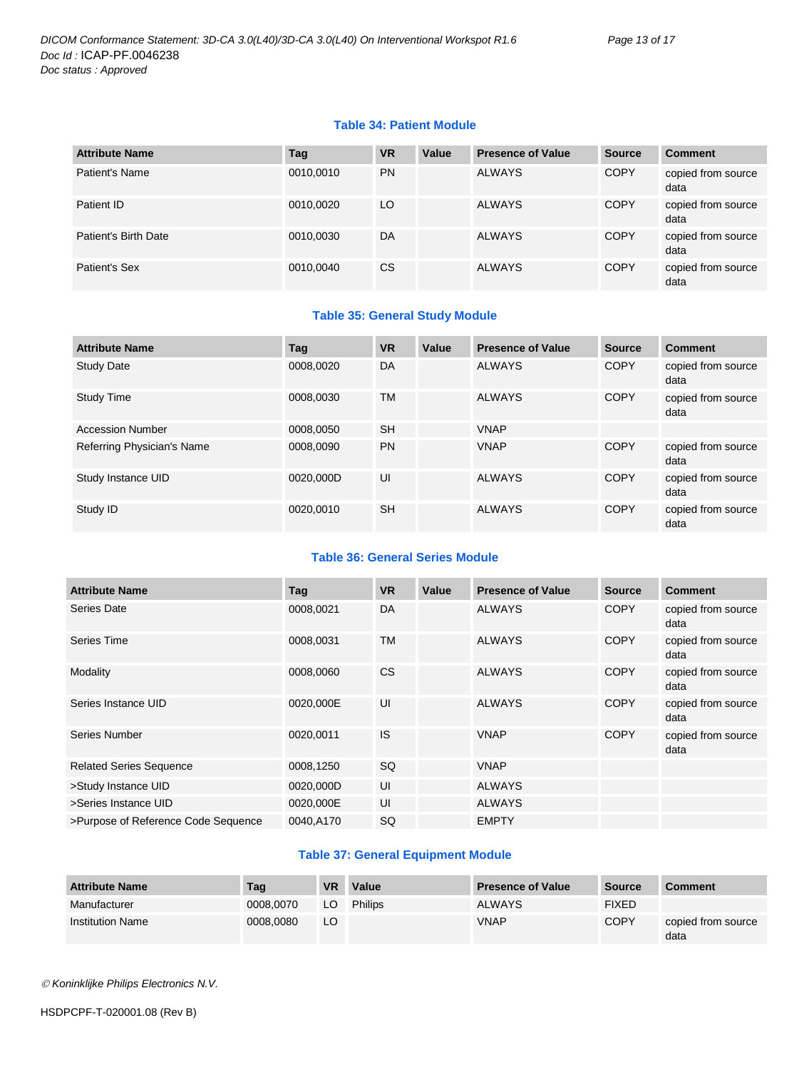#### **Table 34: Patient Module**

| <b>Attribute Name</b> | Tag       | <b>VR</b>     | Value | <b>Presence of Value</b> | <b>Source</b> | <b>Comment</b>             |
|-----------------------|-----------|---------------|-------|--------------------------|---------------|----------------------------|
| Patient's Name        | 0010,0010 | <b>PN</b>     |       | <b>ALWAYS</b>            | <b>COPY</b>   | copied from source<br>data |
| Patient ID            | 0010,0020 | LO            |       | <b>ALWAYS</b>            | <b>COPY</b>   | copied from source<br>data |
| Patient's Birth Date  | 0010,0030 | DA            |       | <b>ALWAYS</b>            | <b>COPY</b>   | copied from source<br>data |
| Patient's Sex         | 0010,0040 | <sub>CS</sub> |       | <b>ALWAYS</b>            | <b>COPY</b>   | copied from source<br>data |

#### **Table 35: General Study Module**

| <b>Attribute Name</b>      | Tag       | <b>VR</b> | Value | <b>Presence of Value</b> | <b>Source</b> | <b>Comment</b>             |
|----------------------------|-----------|-----------|-------|--------------------------|---------------|----------------------------|
| <b>Study Date</b>          | 0008,0020 | DA        |       | <b>ALWAYS</b>            | <b>COPY</b>   | copied from source<br>data |
| <b>Study Time</b>          | 0008.0030 | <b>TM</b> |       | <b>ALWAYS</b>            | <b>COPY</b>   | copied from source<br>data |
| <b>Accession Number</b>    | 0008,0050 | <b>SH</b> |       | <b>VNAP</b>              |               |                            |
| Referring Physician's Name | 0008.0090 | <b>PN</b> |       | <b>VNAP</b>              | <b>COPY</b>   | copied from source<br>data |
| Study Instance UID         | 0020,000D | UI        |       | <b>ALWAYS</b>            | <b>COPY</b>   | copied from source<br>data |
| Study ID                   | 0020,0010 | <b>SH</b> |       | <b>ALWAYS</b>            | <b>COPY</b>   | copied from source<br>data |

#### **Table 36: General Series Module**

| <b>Attribute Name</b>               | Tag       | <b>VR</b> | Value | <b>Presence of Value</b> | <b>Source</b> | <b>Comment</b>             |
|-------------------------------------|-----------|-----------|-------|--------------------------|---------------|----------------------------|
| Series Date                         | 0008,0021 | DA        |       | <b>ALWAYS</b>            | <b>COPY</b>   | copied from source<br>data |
| Series Time                         | 0008,0031 | <b>TM</b> |       | <b>ALWAYS</b>            | <b>COPY</b>   | copied from source<br>data |
| Modality                            | 0008,0060 | <b>CS</b> |       | <b>ALWAYS</b>            | <b>COPY</b>   | copied from source<br>data |
| Series Instance UID                 | 0020,000E | UI        |       | <b>ALWAYS</b>            | <b>COPY</b>   | copied from source<br>data |
| Series Number                       | 0020,0011 | IS        |       | <b>VNAP</b>              | <b>COPY</b>   | copied from source<br>data |
| <b>Related Series Sequence</b>      | 0008,1250 | <b>SQ</b> |       | <b>VNAP</b>              |               |                            |
| >Study Instance UID                 | 0020,000D | UI        |       | <b>ALWAYS</b>            |               |                            |
| >Series Instance UID                | 0020,000E | UI        |       | <b>ALWAYS</b>            |               |                            |
| >Purpose of Reference Code Sequence | 0040,A170 | <b>SQ</b> |       | <b>EMPTY</b>             |               |                            |

#### **Table 37: General Equipment Module**

| <b>Attribute Name</b>   | Tag       | VR | Value   | <b>Presence of Value</b> | <b>Source</b> | <b>Comment</b>             |
|-------------------------|-----------|----|---------|--------------------------|---------------|----------------------------|
| Manufacturer            | 0008.0070 | LO | Philips | <b>ALWAYS</b>            | <b>FIXED</b>  |                            |
| <b>Institution Name</b> | 0008.0080 | LO |         | <b>VNAP</b>              | <b>COPY</b>   | copied from source<br>data |

*Koninklijke Philips Electronics N.V.*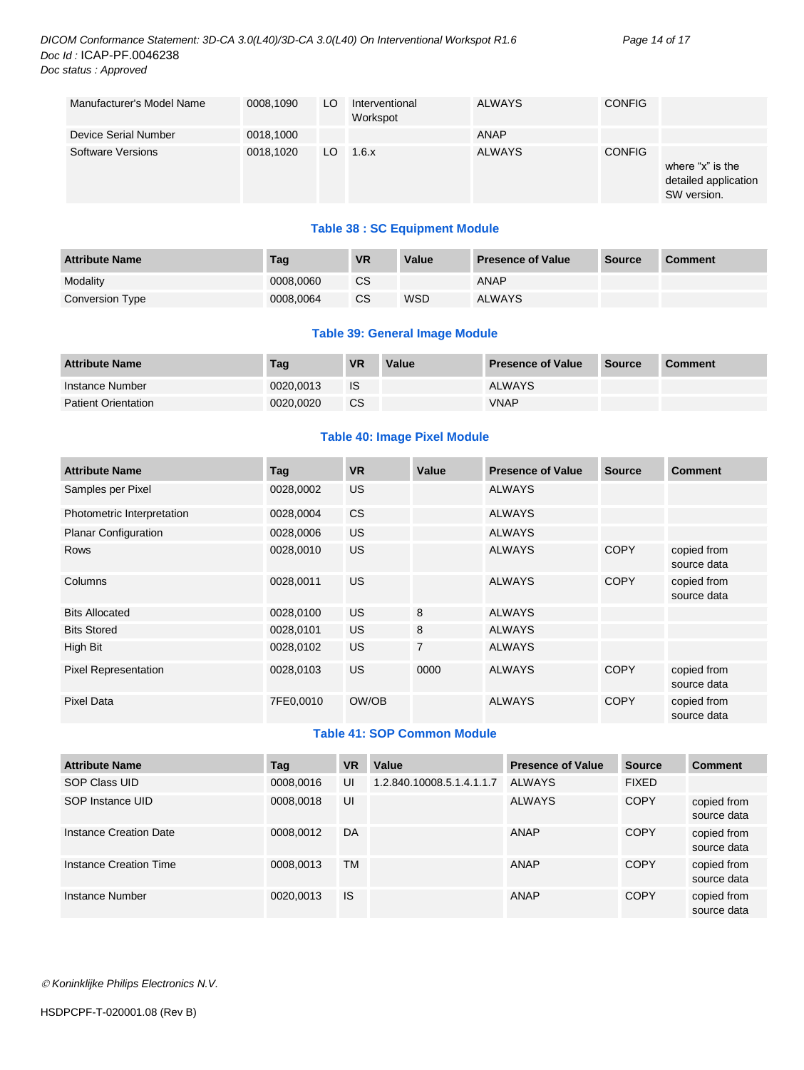| Manufacturer's Model Name | 0008,1090 | LO  | Interventional<br>Workspot | ALWAYS        | <b>CONFIG</b> |                                                         |
|---------------------------|-----------|-----|----------------------------|---------------|---------------|---------------------------------------------------------|
| Device Serial Number      | 0018,1000 |     |                            | ANAP          |               |                                                         |
| <b>Software Versions</b>  | 0018.1020 | LO. | 1.6.x                      | <b>ALWAYS</b> | <b>CONFIG</b> | where "x" is the<br>detailed application<br>SW version. |

#### **Table 38 : SC Equipment Module**

| <b>Attribute Name</b> | Tag       | <b>VR</b> | Value | <b>Presence of Value</b> | <b>Source</b> | <b>Comment</b> |
|-----------------------|-----------|-----------|-------|--------------------------|---------------|----------------|
| Modality              | 0008.0060 | СS        |       | <b>ANAP</b>              |               |                |
| Conversion Type       | 0008.0064 | CS        | WSD   | <b>ALWAYS</b>            |               |                |

#### **Table 39: General Image Module**

| <b>Attribute Name</b>      | Tag       | <b>VR</b> | Value | <b>Presence of Value</b> | Source | <b>Comment</b> |
|----------------------------|-----------|-----------|-------|--------------------------|--------|----------------|
| Instance Number            | 0020.0013 | <b>IS</b> |       | <b>ALWAYS</b>            |        |                |
| <b>Patient Orientation</b> | 0020.0020 | <b>CS</b> |       | VNAP                     |        |                |

#### **Table 40: Image Pixel Module**

| <b>Attribute Name</b>       | Tag       | <b>VR</b>      | Value          | <b>Presence of Value</b> | <b>Source</b> | <b>Comment</b>             |
|-----------------------------|-----------|----------------|----------------|--------------------------|---------------|----------------------------|
| Samples per Pixel           | 0028,0002 | <b>US</b>      |                | <b>ALWAYS</b>            |               |                            |
| Photometric Interpretation  | 0028,0004 | C <sub>S</sub> |                | <b>ALWAYS</b>            |               |                            |
| <b>Planar Configuration</b> | 0028,0006 | <b>US</b>      |                | <b>ALWAYS</b>            |               |                            |
| <b>Rows</b>                 | 0028,0010 | <b>US</b>      |                | <b>ALWAYS</b>            | <b>COPY</b>   | copied from<br>source data |
| Columns                     | 0028,0011 | <b>US</b>      |                | <b>ALWAYS</b>            | <b>COPY</b>   | copied from<br>source data |
| <b>Bits Allocated</b>       | 0028,0100 | <b>US</b>      | 8              | <b>ALWAYS</b>            |               |                            |
| <b>Bits Stored</b>          | 0028,0101 | <b>US</b>      | 8              | <b>ALWAYS</b>            |               |                            |
| High Bit                    | 0028,0102 | <b>US</b>      | $\overline{7}$ | <b>ALWAYS</b>            |               |                            |
| <b>Pixel Representation</b> | 0028,0103 | <b>US</b>      | 0000           | ALWAYS                   | <b>COPY</b>   | copied from<br>source data |
| Pixel Data                  | 7FE0,0010 | OW/OB          |                | <b>ALWAYS</b>            | <b>COPY</b>   | copied from<br>source data |

#### **Table 41: SOP Common Module**

| <b>Attribute Name</b>  | Tag       | <b>VR</b> | Value                     | <b>Presence of Value</b> | <b>Source</b> | <b>Comment</b>             |
|------------------------|-----------|-----------|---------------------------|--------------------------|---------------|----------------------------|
| SOP Class UID          | 0008,0016 | UI        | 1.2.840.10008.5.1.4.1.1.7 | <b>ALWAYS</b>            | <b>FIXED</b>  |                            |
| SOP Instance UID       | 0008,0018 | UI        |                           | <b>ALWAYS</b>            | <b>COPY</b>   | copied from<br>source data |
| Instance Creation Date | 0008,0012 | DA        |                           | ANAP                     | <b>COPY</b>   | copied from<br>source data |
| Instance Creation Time | 0008,0013 | <b>TM</b> |                           | ANAP                     | <b>COPY</b>   | copied from<br>source data |
| Instance Number        | 0020,0013 | <b>IS</b> |                           | ANAP                     | <b>COPY</b>   | copied from<br>source data |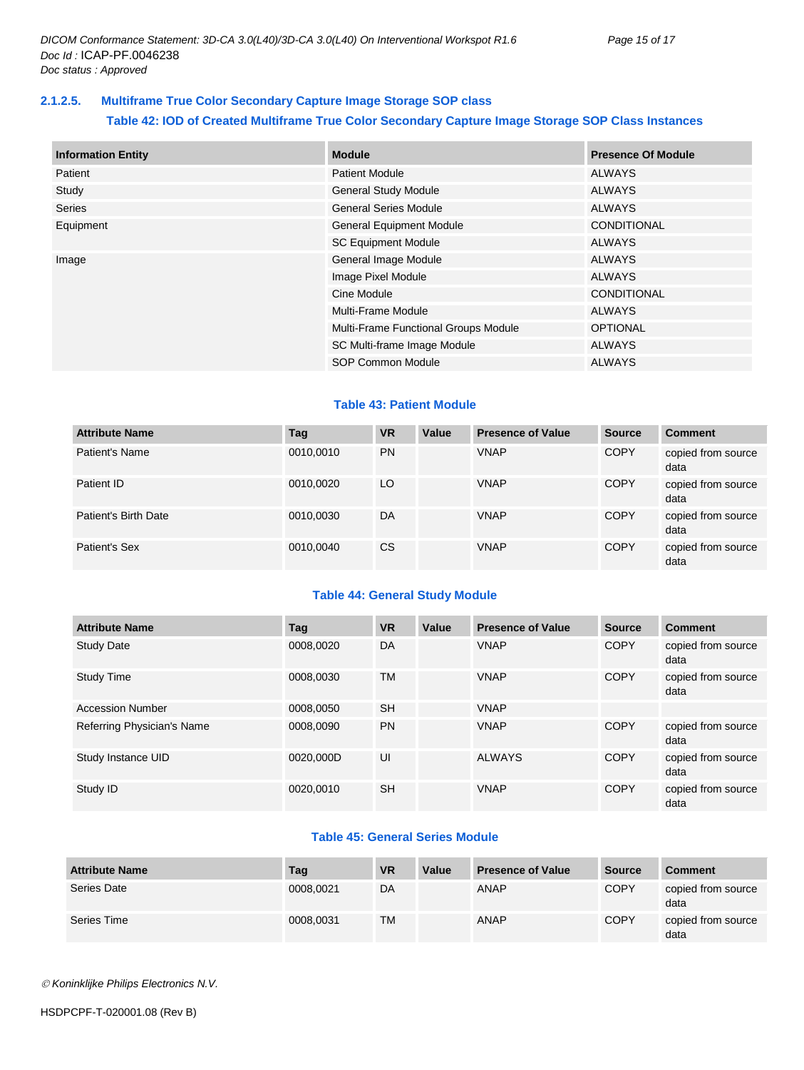#### <span id="page-14-0"></span>**2.1.2.5. Multiframe True Color Secondary Capture Image Storage SOP class**

#### **Table 42: IOD of Created Multiframe True Color Secondary Capture Image Storage SOP Class Instances**

| <b>Information Entity</b> | <b>Module</b>                        | <b>Presence Of Module</b> |
|---------------------------|--------------------------------------|---------------------------|
| Patient                   | <b>Patient Module</b>                | ALWAYS                    |
| Study                     | <b>General Study Module</b>          | <b>ALWAYS</b>             |
| <b>Series</b>             | <b>General Series Module</b>         | <b>ALWAYS</b>             |
| Equipment                 | <b>General Equipment Module</b>      | <b>CONDITIONAL</b>        |
|                           | <b>SC Equipment Module</b>           | <b>ALWAYS</b>             |
| Image                     | General Image Module                 | ALWAYS                    |
|                           | Image Pixel Module                   | <b>ALWAYS</b>             |
|                           | Cine Module                          | <b>CONDITIONAL</b>        |
|                           | Multi-Frame Module                   | ALWAYS                    |
|                           | Multi-Frame Functional Groups Module | <b>OPTIONAL</b>           |
|                           | SC Multi-frame Image Module          | <b>ALWAYS</b>             |
|                           | SOP Common Module                    | <b>ALWAYS</b>             |

#### **Table 43: Patient Module**

| <b>Attribute Name</b> | Tag       | <b>VR</b>     | Value | <b>Presence of Value</b> | <b>Source</b> | <b>Comment</b>             |
|-----------------------|-----------|---------------|-------|--------------------------|---------------|----------------------------|
| Patient's Name        | 0010,0010 | <b>PN</b>     |       | <b>VNAP</b>              | <b>COPY</b>   | copied from source<br>data |
| Patient ID            | 0010.0020 | LO            |       | <b>VNAP</b>              | <b>COPY</b>   | copied from source<br>data |
| Patient's Birth Date  | 0010,0030 | DA            |       | <b>VNAP</b>              | <b>COPY</b>   | copied from source<br>data |
| Patient's Sex         | 0010,0040 | <sub>CS</sub> |       | <b>VNAP</b>              | <b>COPY</b>   | copied from source<br>data |

#### **Table 44: General Study Module**

| <b>Attribute Name</b>      | Tag       | <b>VR</b> | Value | <b>Presence of Value</b> | <b>Source</b> | <b>Comment</b>             |
|----------------------------|-----------|-----------|-------|--------------------------|---------------|----------------------------|
| <b>Study Date</b>          | 0008.0020 | DA        |       | <b>VNAP</b>              | <b>COPY</b>   | copied from source<br>data |
| Study Time                 | 0008.0030 | <b>TM</b> |       | <b>VNAP</b>              | <b>COPY</b>   | copied from source<br>data |
| <b>Accession Number</b>    | 0008,0050 | <b>SH</b> |       | <b>VNAP</b>              |               |                            |
| Referring Physician's Name | 0008,0090 | <b>PN</b> |       | <b>VNAP</b>              | <b>COPY</b>   | copied from source<br>data |
| Study Instance UID         | 0020.000D | UI        |       | <b>ALWAYS</b>            | <b>COPY</b>   | copied from source<br>data |
| Study ID                   | 0020,0010 | <b>SH</b> |       | <b>VNAP</b>              | <b>COPY</b>   | copied from source<br>data |

#### **Table 45: General Series Module**

| <b>Attribute Name</b> | Tag       | <b>VR</b> | Value | <b>Presence of Value</b> | <b>Source</b> | <b>Comment</b>             |
|-----------------------|-----------|-----------|-------|--------------------------|---------------|----------------------------|
| Series Date           | 0008,0021 | DA        |       | ANAP                     | <b>COPY</b>   | copied from source<br>data |
| Series Time           | 0008,0031 | <b>TM</b> |       | ANAP                     | <b>COPY</b>   | copied from source<br>data |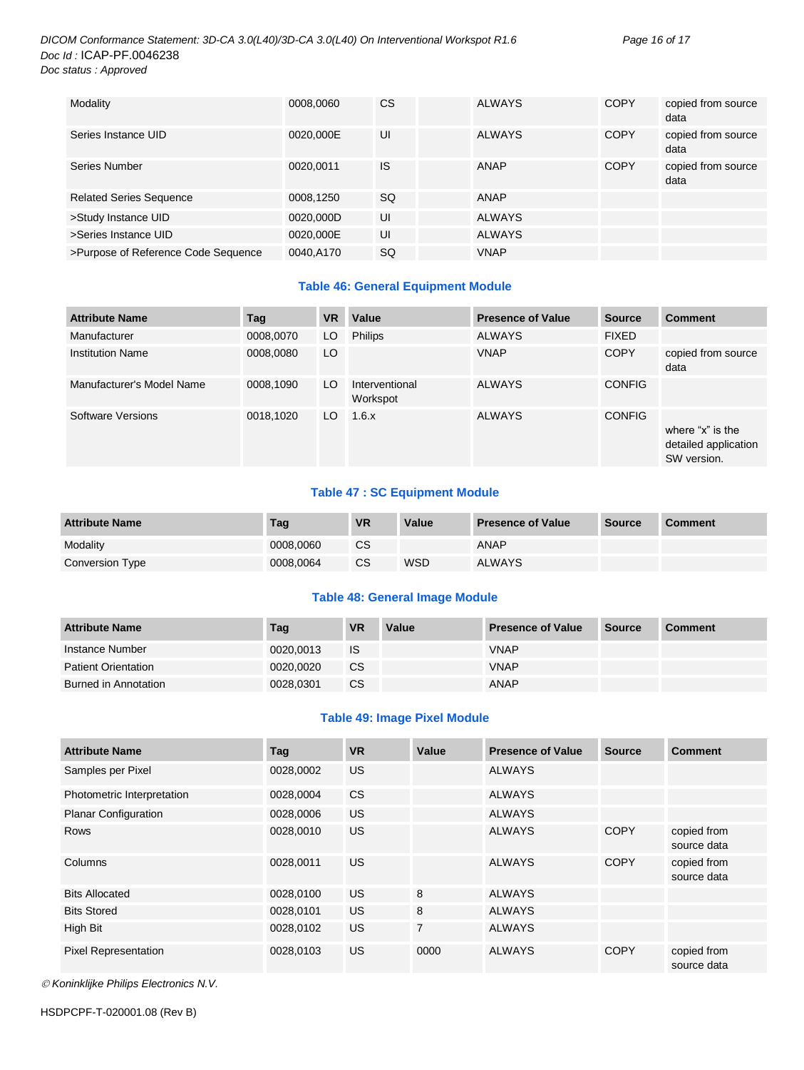#### *DICOM Conformance Statement: 3D-CA 3.0(L40)/3D-CA 3.0(L40) On Interventional Workspot R1.6 Page 16 of 17 Doc Id :* ICAP-PF.0046238 *Doc status : Approved*

| Modality                            | 0008,0060 | CS | <b>ALWAYS</b> | <b>COPY</b> | copied from source<br>data |
|-------------------------------------|-----------|----|---------------|-------------|----------------------------|
| Series Instance UID                 | 0020,000E | UI | <b>ALWAYS</b> | <b>COPY</b> | copied from source<br>data |
| Series Number                       | 0020,0011 | IS | ANAP          | <b>COPY</b> | copied from source<br>data |
| <b>Related Series Sequence</b>      | 0008,1250 | SQ | ANAP          |             |                            |
| >Study Instance UID                 | 0020,000D | UI | <b>ALWAYS</b> |             |                            |
| >Series Instance UID                | 0020,000E | UI | <b>ALWAYS</b> |             |                            |
| >Purpose of Reference Code Sequence | 0040,A170 | SQ | <b>VNAP</b>   |             |                            |

#### **Table 46: General Equipment Module**

| <b>Attribute Name</b>     | Tag       | <b>VR</b> | Value                      | <b>Presence of Value</b> | <b>Source</b> | <b>Comment</b>                                          |
|---------------------------|-----------|-----------|----------------------------|--------------------------|---------------|---------------------------------------------------------|
| Manufacturer              | 0008,0070 | LO        | <b>Philips</b>             | <b>ALWAYS</b>            | <b>FIXED</b>  |                                                         |
| <b>Institution Name</b>   | 0008,0080 | LO        |                            | <b>VNAP</b>              | <b>COPY</b>   | copied from source<br>data                              |
| Manufacturer's Model Name | 0008,1090 | LO.       | Interventional<br>Workspot | <b>ALWAYS</b>            | <b>CONFIG</b> |                                                         |
| Software Versions         | 0018,1020 | LO        | 1.6.x                      | <b>ALWAYS</b>            | <b>CONFIG</b> | where "x" is the<br>detailed application<br>SW version. |

#### **Table 47 : SC Equipment Module**

| <b>Attribute Name</b> | Taq       | <b>VR</b> | <b>Value</b> | <b>Presence of Value</b> | <b>Source</b> | <b>Comment</b> |
|-----------------------|-----------|-----------|--------------|--------------------------|---------------|----------------|
| Modality              | 0008.0060 | <b>CS</b> |              | <b>ANAP</b>              |               |                |
| Conversion Type       | 0008.0064 | CS        | WSD          | <b>ALWAYS</b>            |               |                |

#### **Table 48: General Image Module**

| <b>Attribute Name</b>      | Tag       | <b>VR</b> | Value | <b>Presence of Value</b> | Source | <b>Comment</b> |
|----------------------------|-----------|-----------|-------|--------------------------|--------|----------------|
| Instance Number            | 0020.0013 | <b>IS</b> |       | <b>VNAP</b>              |        |                |
| <b>Patient Orientation</b> | 0020.0020 | <b>CS</b> |       | <b>VNAP</b>              |        |                |
| Burned in Annotation       | 0028.0301 | <b>CS</b> |       | <b>ANAP</b>              |        |                |

#### **Table 49: Image Pixel Module**

| <b>Attribute Name</b>       | Tag       | <b>VR</b> | Value          | <b>Presence of Value</b> | <b>Source</b> | <b>Comment</b>             |
|-----------------------------|-----------|-----------|----------------|--------------------------|---------------|----------------------------|
| Samples per Pixel           | 0028,0002 | US.       |                | <b>ALWAYS</b>            |               |                            |
| Photometric Interpretation  | 0028,0004 | <b>CS</b> |                | <b>ALWAYS</b>            |               |                            |
| <b>Planar Configuration</b> | 0028,0006 | US.       |                | <b>ALWAYS</b>            |               |                            |
| Rows                        | 0028,0010 | <b>US</b> |                | <b>ALWAYS</b>            | <b>COPY</b>   | copied from<br>source data |
| Columns                     | 0028,0011 | US.       |                | <b>ALWAYS</b>            | <b>COPY</b>   | copied from<br>source data |
| <b>Bits Allocated</b>       | 0028.0100 | US.       | 8              | <b>ALWAYS</b>            |               |                            |
| <b>Bits Stored</b>          | 0028,0101 | US.       | 8              | <b>ALWAYS</b>            |               |                            |
| High Bit                    | 0028,0102 | US.       | $\overline{7}$ | <b>ALWAYS</b>            |               |                            |
| <b>Pixel Representation</b> | 0028,0103 | <b>US</b> | 0000           | <b>ALWAYS</b>            | <b>COPY</b>   | copied from<br>source data |